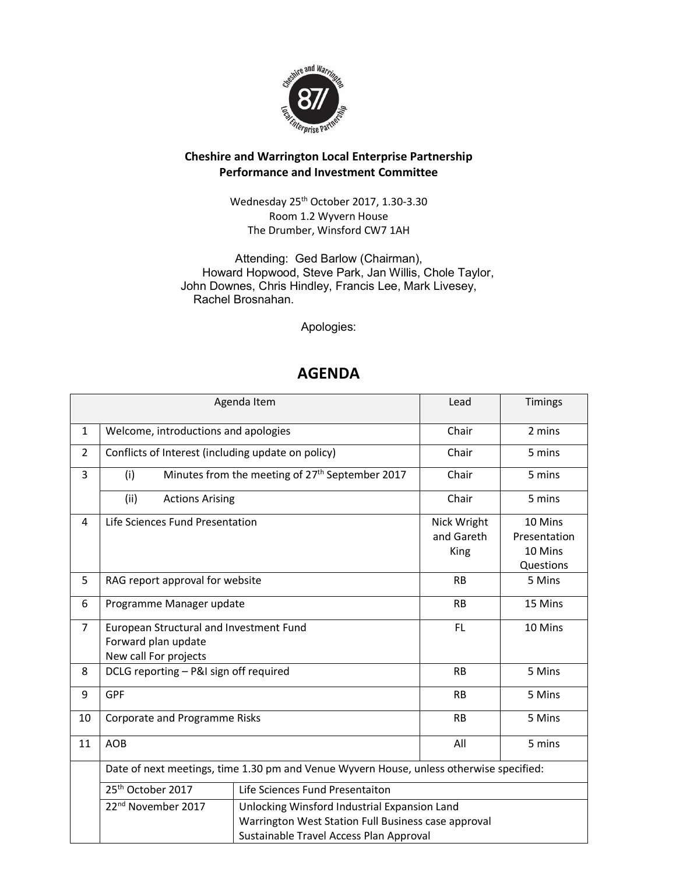

## Cheshire and Warrington Local Enterprise Partnership Performance and Investment Committee

Wednesday 25th October 2017, 1.30-3.30 Room 1.2 Wyvern House The Drumber, Winsford CW7 1AH

Attending: Ged Barlow (Chairman), Howard Hopwood, Steve Park, Jan Willis, Chole Taylor, John Downes, Chris Hindley, Francis Lee, Mark Livesey, Rachel Brosnahan.

Apologies:

## AGENDA

|                | Agenda Item                                                                                                                                                                      | Lead                                                        | Timings    |              |
|----------------|----------------------------------------------------------------------------------------------------------------------------------------------------------------------------------|-------------------------------------------------------------|------------|--------------|
| $\mathbf{1}$   | Welcome, introductions and apologies                                                                                                                                             |                                                             | Chair      | 2 mins       |
| $\overline{2}$ | Conflicts of Interest (including update on policy)                                                                                                                               |                                                             | Chair      | 5 mins       |
| 3              | (i)                                                                                                                                                                              | Minutes from the meeting of 27 <sup>th</sup> September 2017 | Chair      | 5 mins       |
|                | (ii)<br><b>Actions Arising</b>                                                                                                                                                   |                                                             | Chair      | 5 mins       |
| 4              | Life Sciences Fund Presentation                                                                                                                                                  | Nick Wright                                                 | 10 Mins    |              |
|                |                                                                                                                                                                                  |                                                             | and Gareth | Presentation |
|                |                                                                                                                                                                                  |                                                             | King       | 10 Mins      |
|                |                                                                                                                                                                                  |                                                             |            | Questions    |
| 5              | RAG report approval for website                                                                                                                                                  |                                                             | <b>RB</b>  | 5 Mins       |
| 6              | Programme Manager update                                                                                                                                                         |                                                             | <b>RB</b>  | 15 Mins      |
| $\overline{7}$ | European Structural and Investment Fund                                                                                                                                          |                                                             | FL.        | 10 Mins      |
|                | Forward plan update                                                                                                                                                              |                                                             |            |              |
|                | New call For projects                                                                                                                                                            |                                                             |            |              |
| 8              | DCLG reporting - P&I sign off required                                                                                                                                           |                                                             | <b>RB</b>  | 5 Mins       |
| 9              | <b>GPF</b>                                                                                                                                                                       |                                                             | <b>RB</b>  | 5 Mins       |
| 10             | Corporate and Programme Risks                                                                                                                                                    |                                                             | <b>RB</b>  | 5 Mins       |
| 11             | <b>AOB</b>                                                                                                                                                                       |                                                             | All        | 5 mins       |
|                | Date of next meetings, time 1.30 pm and Venue Wyvern House, unless otherwise specified:                                                                                          |                                                             |            |              |
|                | 25 <sup>th</sup> October 2017                                                                                                                                                    | Life Sciences Fund Presentaiton                             |            |              |
|                | 22 <sup>nd</sup> November 2017<br>Unlocking Winsford Industrial Expansion Land<br>Warrington West Station Full Business case approval<br>Sustainable Travel Access Plan Approval |                                                             |            |              |